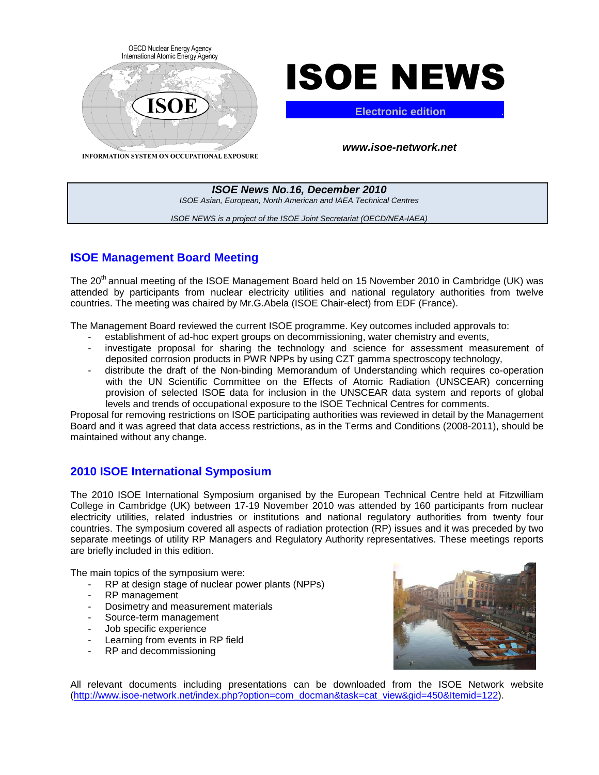



**Electronic edition** .

**ISOE News No.16, December 2010**  ISOE Asian, European, North American and IAEA Technical Centres ISOE NEWS is a project of the ISOE Joint Secretariat (OECD/NEA-IAEA)

# **ISOE Management Board Meeting**

The 20<sup>th</sup> annual meeting of the ISOE Management Board held on 15 November 2010 in Cambridge (UK) was attended by participants from nuclear electricity utilities and national regulatory authorities from twelve countries. The meeting was chaired by Mr.G.Abela (ISOE Chair-elect) from EDF (France).

The Management Board reviewed the current ISOE programme. Key outcomes included approvals to:

- establishment of ad-hoc expert groups on decommissioning, water chemistry and events,
- investigate proposal for sharing the technology and science for assessment measurement of deposited corrosion products in PWR NPPs by using CZT gamma spectroscopy technology,
- distribute the draft of the Non-binding Memorandum of Understanding which requires co-operation with the UN Scientific Committee on the Effects of Atomic Radiation (UNSCEAR) concerning provision of selected ISOE data for inclusion in the UNSCEAR data system and reports of global levels and trends of occupational exposure to the ISOE Technical Centres for comments.

Proposal for removing restrictions on ISOE participating authorities was reviewed in detail by the Management Board and it was agreed that data access restrictions, as in the Terms and Conditions (2008-2011), should be maintained without any change.

# **2010 ISOE International Symposium**

The 2010 ISOE International Symposium organised by the European Technical Centre held at Fitzwilliam College in Cambridge (UK) between 17-19 November 2010 was attended by 160 participants from nuclear electricity utilities, related industries or institutions and national regulatory authorities from twenty four countries. The symposium covered all aspects of radiation protection (RP) issues and it was preceded by two separate meetings of utility RP Managers and Regulatory Authority representatives. These meetings reports are briefly included in this edition.

The main topics of the symposium were:

- RP at design stage of nuclear power plants (NPPs)
- RP management
- Dosimetry and measurement materials
- Source-term management
- Job specific experience
- Learning from events in RP field
- RP and decommissioning



All relevant documents including presentations can be downloaded from the ISOE Network website (http://www.isoe-network.net/index.php?option=com\_docman&task=cat\_view&gid=450&Itemid=122).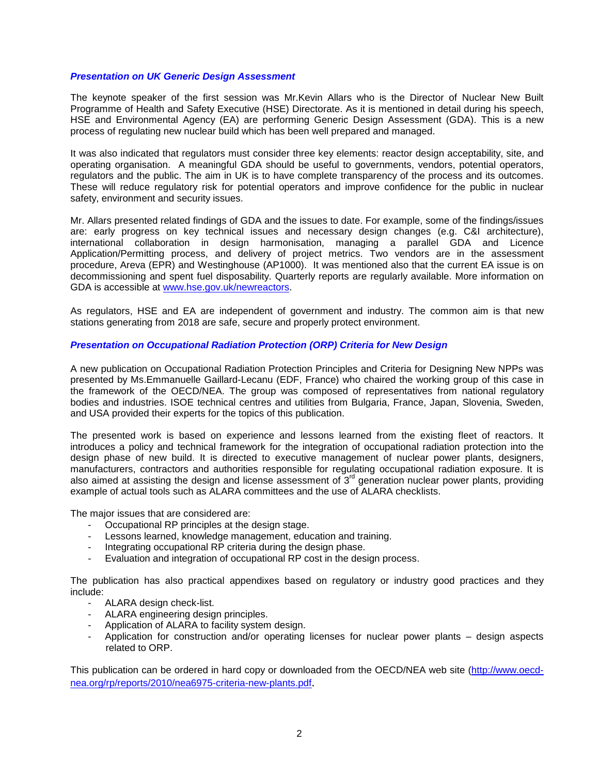#### **Presentation on UK Generic Design Assessment**

The keynote speaker of the first session was Mr.Kevin Allars who is the Director of Nuclear New Built Programme of Health and Safety Executive (HSE) Directorate. As it is mentioned in detail during his speech, HSE and Environmental Agency (EA) are performing Generic Design Assessment (GDA). This is a new process of regulating new nuclear build which has been well prepared and managed.

It was also indicated that regulators must consider three key elements: reactor design acceptability, site, and operating organisation. A meaningful GDA should be useful to governments, vendors, potential operators, regulators and the public. The aim in UK is to have complete transparency of the process and its outcomes. These will reduce regulatory risk for potential operators and improve confidence for the public in nuclear safety, environment and security issues.

Mr. Allars presented related findings of GDA and the issues to date. For example, some of the findings/issues are: early progress on key technical issues and necessary design changes (e.g. C&I architecture), international collaboration in design harmonisation, managing a parallel GDA and Licence Application/Permitting process, and delivery of project metrics. Two vendors are in the assessment procedure, Areva (EPR) and Westinghouse (AP1000). It was mentioned also that the current EA issue is on decommissioning and spent fuel disposability. Quarterly reports are regularly available. More information on GDA is accessible at www.hse.gov.uk/newreactors.

As regulators, HSE and EA are independent of government and industry. The common aim is that new stations generating from 2018 are safe, secure and properly protect environment.

#### **Presentation on Occupational Radiation Protection (ORP) Criteria for New Design**

A new publication on Occupational Radiation Protection Principles and Criteria for Designing New NPPs was presented by Ms.Emmanuelle Gaillard-Lecanu (EDF, France) who chaired the working group of this case in the framework of the OECD/NEA. The group was composed of representatives from national regulatory bodies and industries. ISOE technical centres and utilities from Bulgaria, France, Japan, Slovenia, Sweden, and USA provided their experts for the topics of this publication.

The presented work is based on experience and lessons learned from the existing fleet of reactors. It introduces a policy and technical framework for the integration of occupational radiation protection into the design phase of new build. It is directed to executive management of nuclear power plants, designers, manufacturers, contractors and authorities responsible for regulating occupational radiation exposure. It is also aimed at assisting the design and license assessment of  $3<sup>rd</sup>$  generation nuclear power plants, providing example of actual tools such as ALARA committees and the use of ALARA checklists.

The major issues that are considered are:

- Occupational RP principles at the design stage.
- Lessons learned, knowledge management, education and training.
- Integrating occupational RP criteria during the design phase.
- Evaluation and integration of occupational RP cost in the design process.

The publication has also practical appendixes based on regulatory or industry good practices and they include:

- ALARA design check-list.
- ALARA engineering design principles.
- Application of ALARA to facility system design.
- Application for construction and/or operating licenses for nuclear power plants design aspects related to ORP.

This publication can be ordered in hard copy or downloaded from the OECD/NEA web site (http://www.oecdnea.org/rp/reports/2010/nea6975-criteria-new-plants.pdf.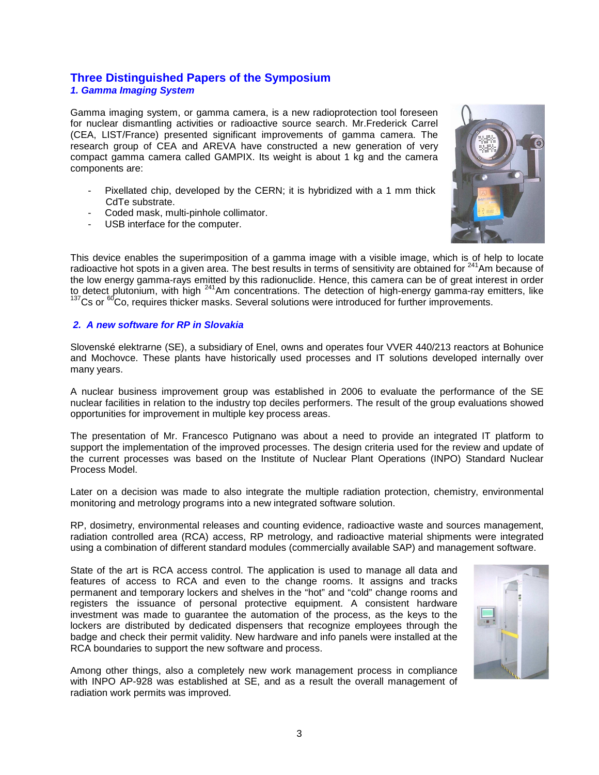# **Three Distinguished Papers of the Symposium**

**1. Gamma Imaging System** 

Gamma imaging system, or gamma camera, is a new radioprotection tool foreseen for nuclear dismantling activities or radioactive source search. Mr.Frederick Carrel (CEA, LIST/France) presented significant improvements of gamma camera. The research group of CEA and AREVA have constructed a new generation of very compact gamma camera called GAMPIX. Its weight is about 1 kg and the camera components are:

- Pixellated chip, developed by the CERN; it is hybridized with a 1 mm thick CdTe substrate.
- Coded mask, multi-pinhole collimator.
- USB interface for the computer.



This device enables the superimposition of a gamma image with a visible image, which is of help to locate radioactive hot spots in a given area. The best results in terms of sensitivity are obtained for <sup>241</sup>Am because of the low energy gamma-rays emitted by this radionuclide. Hence, this camera can be of great interest in order to detect plutonium, with high <sup>241</sup>Am concentrations. The detection of high-energy gamma-ray emitters, like  $137$ Cs or  $60$ Co, requires thicker masks. Several solutions were introduced for further improvements.

#### **2. A new software for RP in Slovakia**

Slovenské elektrarne (SE), a subsidiary of Enel, owns and operates four VVER 440/213 reactors at Bohunice and Mochovce. These plants have historically used processes and IT solutions developed internally over many years.

A nuclear business improvement group was established in 2006 to evaluate the performance of the SE nuclear facilities in relation to the industry top deciles performers. The result of the group evaluations showed opportunities for improvement in multiple key process areas.

The presentation of Mr. Francesco Putignano was about a need to provide an integrated IT platform to support the implementation of the improved processes. The design criteria used for the review and update of the current processes was based on the Institute of Nuclear Plant Operations (INPO) Standard Nuclear Process Model.

Later on a decision was made to also integrate the multiple radiation protection, chemistry, environmental monitoring and metrology programs into a new integrated software solution.

RP, dosimetry, environmental releases and counting evidence, radioactive waste and sources management, radiation controlled area (RCA) access, RP metrology, and radioactive material shipments were integrated using a combination of different standard modules (commercially available SAP) and management software.

State of the art is RCA access control. The application is used to manage all data and features of access to RCA and even to the change rooms. It assigns and tracks permanent and temporary lockers and shelves in the "hot" and "cold" change rooms and registers the issuance of personal protective equipment. A consistent hardware investment was made to guarantee the automation of the process, as the keys to the lockers are distributed by dedicated dispensers that recognize employees through the badge and check their permit validity. New hardware and info panels were installed at the RCA boundaries to support the new software and process.



Among other things, also a completely new work management process in compliance with INPO AP-928 was established at SE, and as a result the overall management of radiation work permits was improved.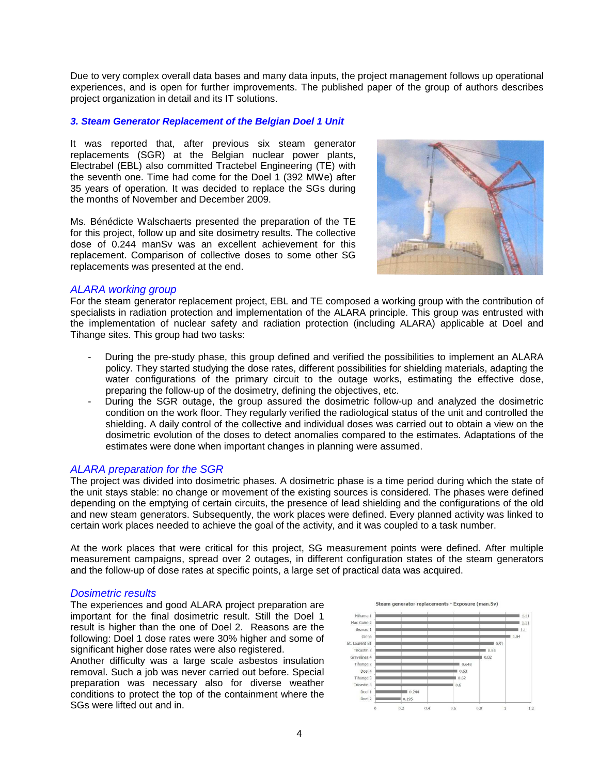Due to very complex overall data bases and many data inputs, the project management follows up operational experiences, and is open for further improvements. The published paper of the group of authors describes project organization in detail and its IT solutions.

#### **3. Steam Generator Replacement of the Belgian Doel 1 Unit**

It was reported that, after previous six steam generator replacements (SGR) at the Belgian nuclear power plants, Electrabel (EBL) also committed Tractebel Engineering (TE) with the seventh one. Time had come for the Doel 1 (392 MWe) after 35 years of operation. It was decided to replace the SGs during the months of November and December 2009.

Ms. Bénédicte Walschaerts presented the preparation of the TE for this project, follow up and site dosimetry results. The collective dose of 0.244 manSv was an excellent achievement for this replacement. Comparison of collective doses to some other SG replacements was presented at the end.



#### ALARA working group

For the steam generator replacement project, EBL and TE composed a working group with the contribution of specialists in radiation protection and implementation of the ALARA principle. This group was entrusted with the implementation of nuclear safety and radiation protection (including ALARA) applicable at Doel and Tihange sites. This group had two tasks:

- During the pre-study phase, this group defined and verified the possibilities to implement an ALARA policy. They started studying the dose rates, different possibilities for shielding materials, adapting the water configurations of the primary circuit to the outage works, estimating the effective dose, preparing the follow-up of the dosimetry, defining the objectives, etc.
- During the SGR outage, the group assured the dosimetric follow-up and analyzed the dosimetric condition on the work floor. They regularly verified the radiological status of the unit and controlled the shielding. A daily control of the collective and individual doses was carried out to obtain a view on the dosimetric evolution of the doses to detect anomalies compared to the estimates. Adaptations of the estimates were done when important changes in planning were assumed.

#### ALARA preparation for the SGR

The project was divided into dosimetric phases. A dosimetric phase is a time period during which the state of the unit stays stable: no change or movement of the existing sources is considered. The phases were defined depending on the emptying of certain circuits, the presence of lead shielding and the configurations of the old and new steam generators. Subsequently, the work places were defined. Every planned activity was linked to certain work places needed to achieve the goal of the activity, and it was coupled to a task number.

At the work places that were critical for this project, SG measurement points were defined. After multiple measurement campaigns, spread over 2 outages, in different configuration states of the steam generators and the follow-up of dose rates at specific points, a large set of practical data was acquired.

#### Dosimetric results

The experiences and good ALARA project preparation are important for the final dosimetric result. Still the Doel 1 result is higher than the one of Doel 2. Reasons are the following: Doel 1 dose rates were 30% higher and some of significant higher dose rates were also registered.

Another difficulty was a large scale asbestos insulation removal. Such a job was never carried out before. Special preparation was necessary also for diverse weather conditions to protect the top of the containment where the SGs were lifted out and in.

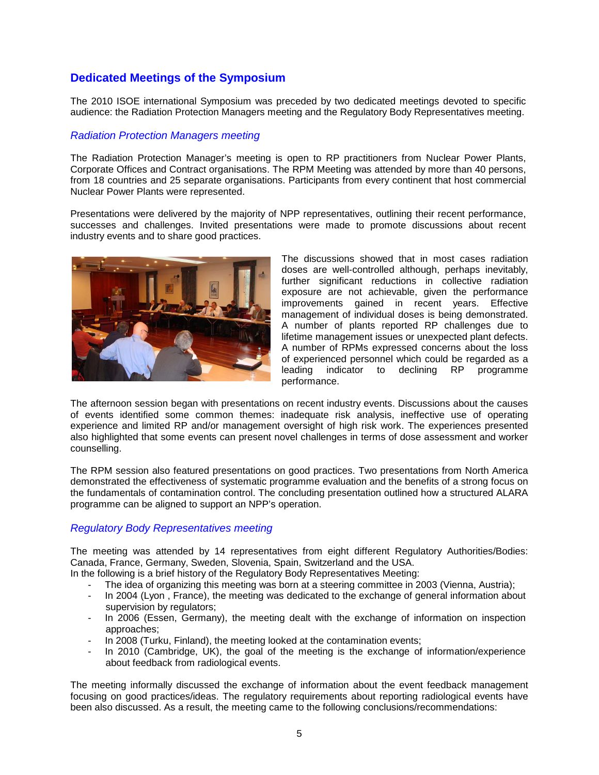## **Dedicated Meetings of the Symposium**

The 2010 ISOE international Symposium was preceded by two dedicated meetings devoted to specific audience: the Radiation Protection Managers meeting and the Regulatory Body Representatives meeting.

#### Radiation Protection Managers meeting

The Radiation Protection Manager's meeting is open to RP practitioners from Nuclear Power Plants, Corporate Offices and Contract organisations. The RPM Meeting was attended by more than 40 persons, from 18 countries and 25 separate organisations. Participants from every continent that host commercial Nuclear Power Plants were represented.

Presentations were delivered by the majority of NPP representatives, outlining their recent performance, successes and challenges. Invited presentations were made to promote discussions about recent industry events and to share good practices.



The discussions showed that in most cases radiation doses are well-controlled although, perhaps inevitably, further significant reductions in collective radiation exposure are not achievable, given the performance improvements gained in recent years. Effective management of individual doses is being demonstrated. A number of plants reported RP challenges due to lifetime management issues or unexpected plant defects. A number of RPMs expressed concerns about the loss of experienced personnel which could be regarded as a leading indicator to declining RP programme performance.

The afternoon session began with presentations on recent industry events. Discussions about the causes of events identified some common themes: inadequate risk analysis, ineffective use of operating experience and limited RP and/or management oversight of high risk work. The experiences presented also highlighted that some events can present novel challenges in terms of dose assessment and worker counselling.

The RPM session also featured presentations on good practices. Two presentations from North America demonstrated the effectiveness of systematic programme evaluation and the benefits of a strong focus on the fundamentals of contamination control. The concluding presentation outlined how a structured ALARA programme can be aligned to support an NPP's operation.

#### Regulatory Body Representatives meeting

The meeting was attended by 14 representatives from eight different Regulatory Authorities/Bodies: Canada, France, Germany, Sweden, Slovenia, Spain, Switzerland and the USA.

In the following is a brief history of the Regulatory Body Representatives Meeting:

- The idea of organizing this meeting was born at a steering committee in 2003 (Vienna, Austria);
- In 2004 (Lyon, France), the meeting was dedicated to the exchange of general information about supervision by regulators;
- In 2006 (Essen, Germany), the meeting dealt with the exchange of information on inspection approaches;
- In 2008 (Turku, Finland), the meeting looked at the contamination events;
- In 2010 (Cambridge, UK), the goal of the meeting is the exchange of information/experience about feedback from radiological events.

The meeting informally discussed the exchange of information about the event feedback management focusing on good practices/ideas. The regulatory requirements about reporting radiological events have been also discussed. As a result, the meeting came to the following conclusions/recommendations: